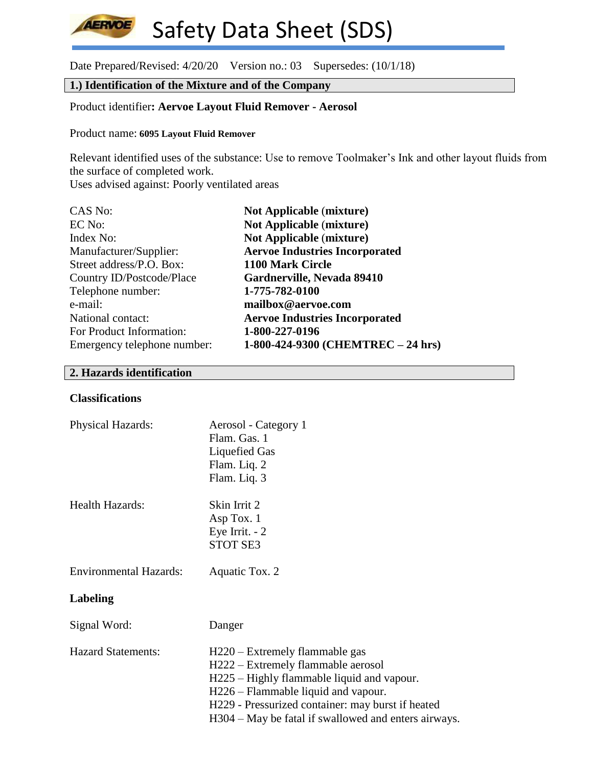Date Prepared/Revised: 4/20/20 Version no.: 03 Supersedes: (10/1/18)

# **1.) Identification of the Mixture and of the Company**

# Product identifier**: Aervoe Layout Fluid Remover - Aerosol**

#### Product name: **6095 Layout Fluid Remover**

Relevant identified uses of the substance: Use to remove Toolmaker's Ink and other layout fluids from the surface of completed work.

Uses advised against: Poorly ventilated areas

| CAS No:                     | <b>Not Applicable (mixture)</b>       |
|-----------------------------|---------------------------------------|
| EC No:                      | <b>Not Applicable (mixture)</b>       |
| Index No:                   | <b>Not Applicable (mixture)</b>       |
| Manufacturer/Supplier:      | <b>Aervoe Industries Incorporated</b> |
| Street address/P.O. Box:    | 1100 Mark Circle                      |
| Country ID/Postcode/Place   | Gardnerville, Nevada 89410            |
| Telephone number:           | 1-775-782-0100                        |
| e-mail:                     | mailbox@aervoe.com                    |
| National contact:           | <b>Aervoe Industries Incorporated</b> |
| For Product Information:    | 1-800-227-0196                        |
| Emergency telephone number: | 1-800-424-9300 (CHEMTREC - 24 hrs)    |

# **2. Hazards identification**

### **Classifications**

**AERVOE** 

| Physical Hazards:             | Aerosol - Category 1<br>Flam. Gas. 1<br><b>Liquefied Gas</b><br>Flam. Liq. 2<br>Flam. Liq. 3                                                                                                                                                                           |
|-------------------------------|------------------------------------------------------------------------------------------------------------------------------------------------------------------------------------------------------------------------------------------------------------------------|
| Health Hazards:               | Skin Irrit 2<br>Asp Tox. 1<br>Eye Irrit. $-2$<br><b>STOT SE3</b>                                                                                                                                                                                                       |
| <b>Environmental Hazards:</b> | Aquatic Tox. 2                                                                                                                                                                                                                                                         |
| Labeling                      |                                                                                                                                                                                                                                                                        |
| Signal Word:                  | Danger                                                                                                                                                                                                                                                                 |
| <b>Hazard Statements:</b>     | H220 – Extremely flammable gas<br>H222 – Extremely flammable aerosol<br>H225 – Highly flammable liquid and vapour.<br>H226 – Flammable liquid and vapour.<br>H229 - Pressurized container: may burst if heated<br>H304 – May be fatal if swallowed and enters airways. |
|                               |                                                                                                                                                                                                                                                                        |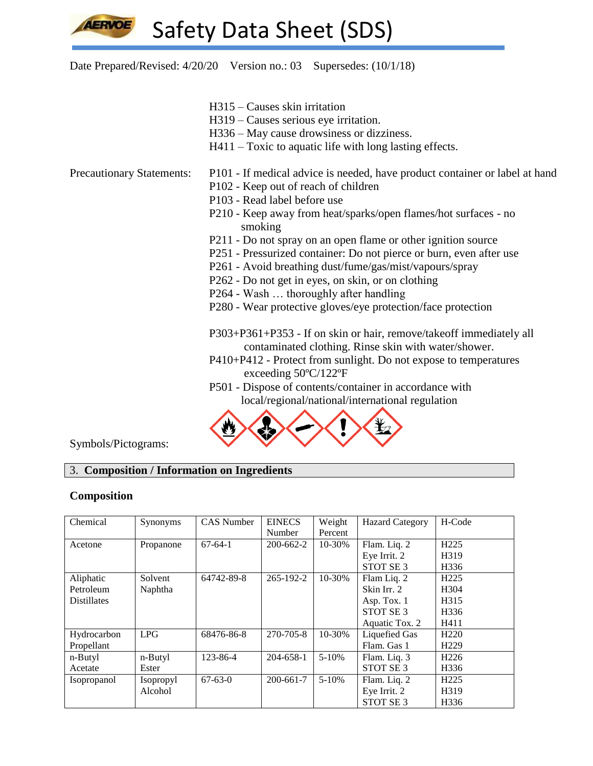

Date Prepared/Revised: 4/20/20 Version no.: 03 Supersedes: (10/1/18)

- H315 Causes skin irritation
- H319 Causes serious eye irritation.
- H336 May cause drowsiness or dizziness.
- H411 Toxic to aquatic life with long lasting effects.

- Precautionary Statements: P101 If medical advice is needed, have product container or label at hand
	- P102 Keep out of reach of children
	- P103 Read label before use
	- P210 Keep away from heat/sparks/open flames/hot surfaces no smoking
	- P211 Do not spray on an open flame or other ignition source
	- P251 Pressurized container: Do not pierce or burn, even after use
	- P261 Avoid breathing dust/fume/gas/mist/vapours/spray
	- P262 Do not get in eyes, on skin, or on clothing
	- P264 Wash … thoroughly after handling
	- P280 Wear protective gloves/eye protection/face protection

P303+P361+P353 - If on skin or hair, remove/takeoff immediately all contaminated clothing. Rinse skin with water/shower.

- P410+P412 Protect from sunlight. Do not expose to temperatures exceeding 50ºC/122ºF
- P501 Dispose of contents/container in accordance with local/regional/national/international regulation



Symbols/Pictograms:

# 3. **Composition / Information on Ingredients**

#### **Composition**

| Chemical           | Synonyms         | <b>CAS</b> Number | <b>EINECS</b> | Weight    | <b>Hazard Category</b> | H-Code           |
|--------------------|------------------|-------------------|---------------|-----------|------------------------|------------------|
|                    |                  |                   | Number        | Percent   |                        |                  |
| Acetone            | Propanone        | $67-64-1$         | 200-662-2     | 10-30%    | Flam. Liq. 2           | H <sub>225</sub> |
|                    |                  |                   |               |           | Eye Irrit. 2           | H319             |
|                    |                  |                   |               |           | STOT SE <sub>3</sub>   | H336             |
| Aliphatic          | Solvent          | 64742-89-8        | 265-192-2     | 10-30%    | Flam Liq. 2            | H <sub>225</sub> |
| Petroleum          | Naphtha          |                   |               |           | Skin Irr. 2            | H <sub>304</sub> |
| <b>Distillates</b> |                  |                   |               |           | Asp. Tox. 1            | H315             |
|                    |                  |                   |               |           | STOT SE <sub>3</sub>   | H <sub>336</sub> |
|                    |                  |                   |               |           | Aquatic Tox. 2         | H411             |
| Hydrocarbon        | <b>LPG</b>       | 68476-86-8        | 270-705-8     | 10-30%    | Liquefied Gas          | H <sub>220</sub> |
| Propellant         |                  |                   |               |           | Flam. Gas 1            | H <sub>229</sub> |
| n-Butyl            | n-Butyl          | 123-86-4          | 204-658-1     | $5 - 10%$ | Flam. Liq. 3           | H <sub>226</sub> |
| Acetate            | Ester            |                   |               |           | STOT SE <sub>3</sub>   | H336             |
| Isopropanol        | <i>Isopropyl</i> | $67 - 63 - 0$     | 200-661-7     | $5 - 10%$ | Flam. Liq. 2           | H <sub>225</sub> |
|                    | Alcohol          |                   |               |           | Eye Irrit. 2           | H319             |
|                    |                  |                   |               |           | STOT SE <sub>3</sub>   | H336             |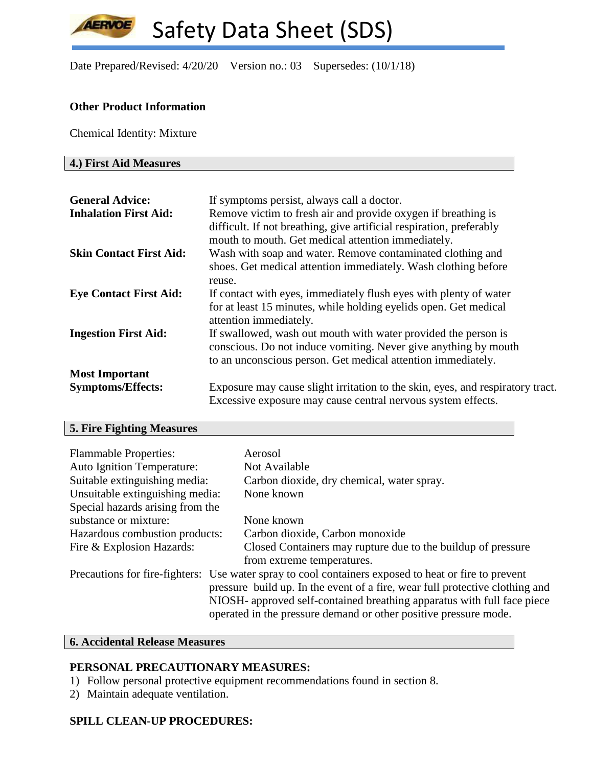Date Prepared/Revised: 4/20/20 Version no.: 03 Supersedes: (10/1/18)

# **Other Product Information**

Chemical Identity: Mixture

## **4.) First Aid Measures**

**AERVOE** 

| <b>General Advice:</b><br><b>Inhalation First Aid:</b> | If symptoms persist, always call a doctor.<br>Remove victim to fresh air and provide oxygen if breathing is<br>difficult. If not breathing, give artificial respiration, preferably               |
|--------------------------------------------------------|---------------------------------------------------------------------------------------------------------------------------------------------------------------------------------------------------|
| <b>Skin Contact First Aid:</b>                         | mouth to mouth. Get medical attention immediately.<br>Wash with soap and water. Remove contaminated clothing and                                                                                  |
|                                                        | shoes. Get medical attention immediately. Wash clothing before<br>reuse.                                                                                                                          |
| <b>Eye Contact First Aid:</b>                          | If contact with eyes, immediately flush eyes with plenty of water<br>for at least 15 minutes, while holding eyelids open. Get medical<br>attention immediately.                                   |
| <b>Ingestion First Aid:</b>                            | If swallowed, wash out mouth with water provided the person is<br>conscious. Do not induce vomiting. Never give anything by mouth<br>to an unconscious person. Get medical attention immediately. |
| <b>Most Important</b>                                  |                                                                                                                                                                                                   |
| <b>Symptoms/Effects:</b>                               | Exposure may cause slight irritation to the skin, eyes, and respiratory tract.<br>Excessive exposure may cause central nervous system effects.                                                    |

# **5. Fire Fighting Measures**

| <b>Flammable Properties:</b><br><b>Auto Ignition Temperature:</b> | Aerosol<br>Not Available                                                                                                                    |
|-------------------------------------------------------------------|---------------------------------------------------------------------------------------------------------------------------------------------|
| Suitable extinguishing media:                                     | Carbon dioxide, dry chemical, water spray.                                                                                                  |
| Unsuitable extinguishing media:                                   | None known                                                                                                                                  |
| Special hazards arising from the                                  |                                                                                                                                             |
| substance or mixture:                                             | None known                                                                                                                                  |
| Hazardous combustion products:                                    | Carbon dioxide, Carbon monoxide                                                                                                             |
| Fire & Explosion Hazards:                                         | Closed Containers may rupture due to the buildup of pressure                                                                                |
|                                                                   | from extreme temperatures.                                                                                                                  |
|                                                                   | Precautions for fire-fighters: Use water spray to cool containers exposed to heat or fire to prevent                                        |
|                                                                   | pressure build up. In the event of a fire, wear full protective clothing and                                                                |
|                                                                   | NIOSH- approved self-contained breathing apparatus with full face piece<br>operated in the pressure demand or other positive pressure mode. |

# **6. Accidental Release Measures**

# **PERSONAL PRECAUTIONARY MEASURES:**

- 1) Follow personal protective equipment recommendations found in section 8.
- 2) Maintain adequate ventilation.

# **SPILL CLEAN-UP PROCEDURES:**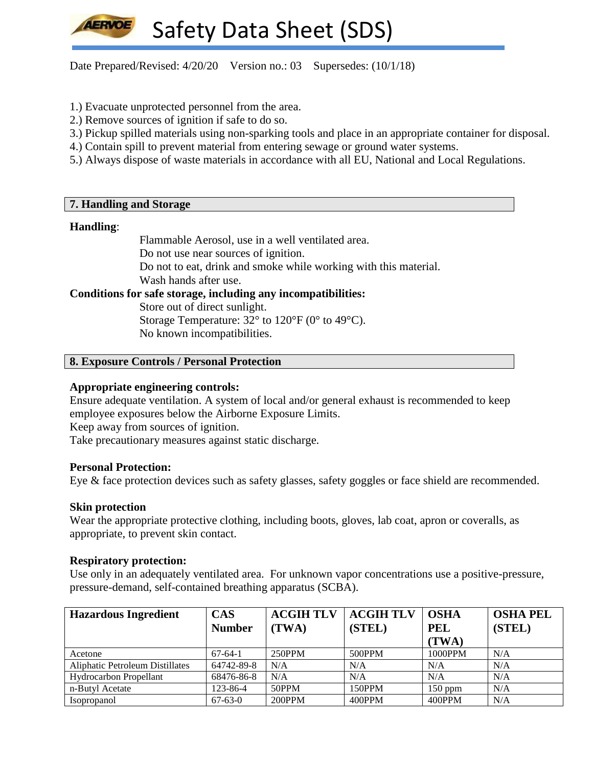Date Prepared/Revised:  $4/20/20$  Version no.: 03 Supersedes: (10/1/18)

- 1.) Evacuate unprotected personnel from the area.
- 2.) Remove sources of ignition if safe to do so.
- 3.) Pickup spilled materials using non-sparking tools and place in an appropriate container for disposal.
- 4.) Contain spill to prevent material from entering sewage or ground water systems.
- 5.) Always dispose of waste materials in accordance with all EU, National and Local Regulations.

### **7. Handling and Storage**

#### **Handling**:

Flammable Aerosol, use in a well ventilated area. Do not use near sources of ignition. Do not to eat, drink and smoke while working with this material. Wash hands after use.

# **Conditions for safe storage, including any incompatibilities:**

Store out of direct sunlight. Storage Temperature:  $32^{\circ}$  to  $120^{\circ}$ F (0° to 49°C). No known incompatibilities.

### **8. Exposure Controls / Personal Protection**

### **Appropriate engineering controls:**

Ensure adequate ventilation. A system of local and/or general exhaust is recommended to keep employee exposures below the Airborne Exposure Limits.

Keep away from sources of ignition.

Take precautionary measures against static discharge.

#### **Personal Protection:**

Eye & face protection devices such as safety glasses, safety goggles or face shield are recommended.

#### **Skin protection**

Wear the appropriate protective clothing, including boots, gloves, lab coat, apron or coveralls, as appropriate, to prevent skin contact.

#### **Respiratory protection:**

Use only in an adequately ventilated area. For unknown vapor concentrations use a positive-pressure, pressure-demand, self-contained breathing apparatus (SCBA).

| <b>Hazardous Ingredient</b>     | <b>CAS</b>    | <b>ACGIH TLV</b> | <b>ACGIH TLV</b> | <b>OSHA</b> | <b>OSHA PEL</b> |
|---------------------------------|---------------|------------------|------------------|-------------|-----------------|
|                                 | <b>Number</b> | (TWA)            | (STEL)           | <b>PEL</b>  | (STEL)          |
|                                 |               |                  |                  | (TWA)       |                 |
| Acetone                         | $67-64-1$     | 250PPM           | 500PPM           | 1000PPM     | N/A             |
| Aliphatic Petroleum Distillates | 64742-89-8    | N/A              | N/A              | N/A         | N/A             |
| <b>Hydrocarbon Propellant</b>   | 68476-86-8    | N/A              | N/A              | N/A         | N/A             |
| n-Butyl Acetate                 | 123-86-4      | 50PPM            | 150PPM           | $150$ ppm   | N/A             |
| <i>Isopropanol</i>              | $67 - 63 - 0$ | 200PPM           | 400PPM           | 400PPM      | N/A             |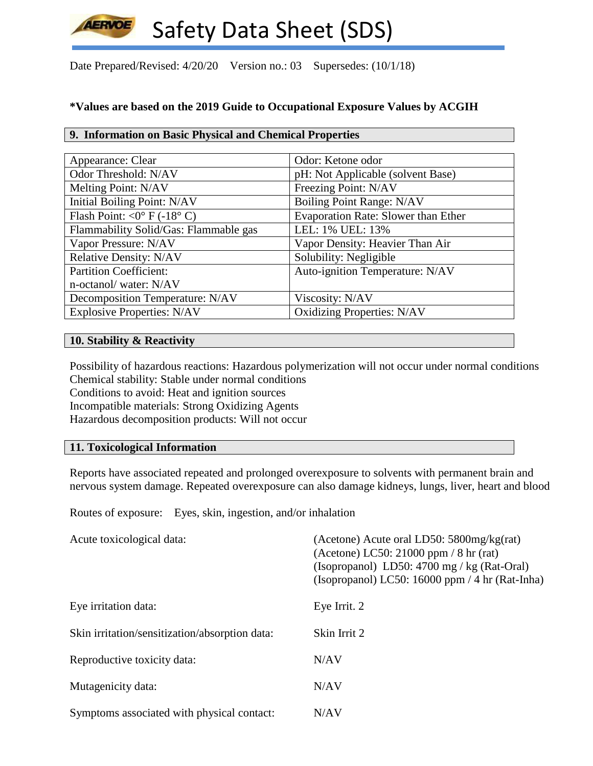Date Prepared/Revised: 4/20/20 Version no.: 03 Supersedes: (10/1/18)

# **\*Values are based on the 2019 Guide to Occupational Exposure Values by ACGIH**

# **9. Information on Basic Physical and Chemical Properties**

| Appearance: Clear                     | Odor: Ketone odor                   |
|---------------------------------------|-------------------------------------|
| Odor Threshold: N/AV                  | pH: Not Applicable (solvent Base)   |
| Melting Point: N/AV                   | Freezing Point: N/AV                |
| Initial Boiling Point: N/AV           | <b>Boiling Point Range: N/AV</b>    |
| Flash Point: < $0^{\circ}$ F (-18° C) | Evaporation Rate: Slower than Ether |
| Flammability Solid/Gas: Flammable gas | LEL: 1% UEL: 13%                    |
| Vapor Pressure: N/AV                  | Vapor Density: Heavier Than Air     |
| <b>Relative Density: N/AV</b>         | Solubility: Negligible              |
| <b>Partition Coefficient:</b>         | Auto-ignition Temperature: N/AV     |
| n-octanol/water: N/AV                 |                                     |
| Decomposition Temperature: N/AV       | Viscosity: N/AV                     |
| <b>Explosive Properties: N/AV</b>     | <b>Oxidizing Properties: N/AV</b>   |

## **10. Stability & Reactivity**

Possibility of hazardous reactions: Hazardous polymerization will not occur under normal conditions Chemical stability: Stable under normal conditions Conditions to avoid: Heat and ignition sources Incompatible materials: Strong Oxidizing Agents Hazardous decomposition products: Will not occur

# **11. Toxicological Information**

Reports have associated repeated and prolonged overexposure to solvents with permanent brain and nervous system damage. Repeated overexposure can also damage kidneys, lungs, liver, heart and blood

Routes of exposure: Eyes, skin, ingestion, and/or inhalation

| Acute toxicological data:                      | (Acetone) Acute oral LD50: $5800$ mg/kg(rat)<br>(Acetone) LC50: 21000 ppm $/ 8$ hr (rat)<br>(Isopropanol) LD50: $4700 \text{ mg}$ / kg (Rat-Oral)<br>(Isopropanol) LC50: 16000 ppm $/$ 4 hr (Rat-Inha) |
|------------------------------------------------|--------------------------------------------------------------------------------------------------------------------------------------------------------------------------------------------------------|
| Eye irritation data:                           | Eye Irrit. 2                                                                                                                                                                                           |
| Skin irritation/sensitization/absorption data: | Skin Irrit 2                                                                                                                                                                                           |
| Reproductive toxicity data:                    | N/AV                                                                                                                                                                                                   |
| Mutagenicity data:                             | N/AV                                                                                                                                                                                                   |
| Symptoms associated with physical contact:     | N/AV                                                                                                                                                                                                   |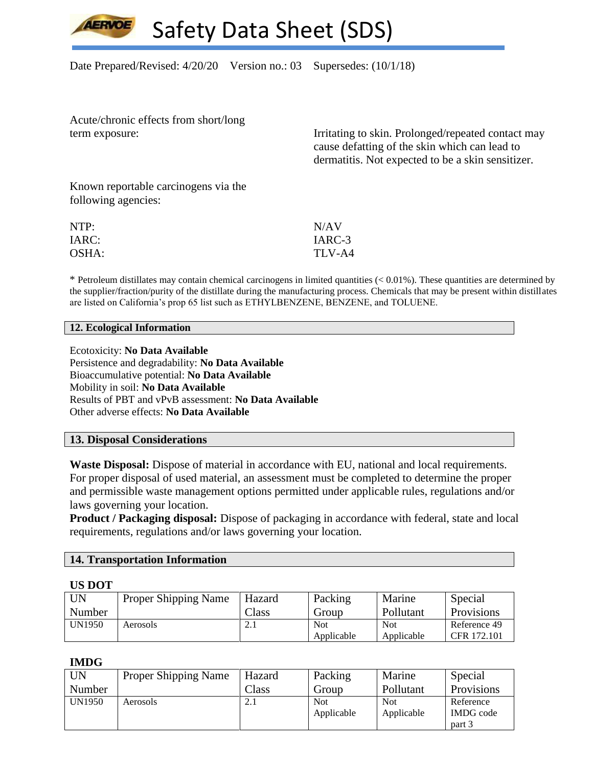Date Prepared/Revised:  $4/20/20$  Version no.: 03 Supersedes: (10/1/18)

Acute/chronic effects from short/long

term exposure: Irritating to skin. Prolonged/repeated contact may cause defatting of the skin which can lead to dermatitis. Not expected to be a skin sensitizer.

Known reportable carcinogens via the following agencies:

| NTP:  | N/AV   |
|-------|--------|
| IARC: | IARC-3 |
| OSHA: | TLV-A4 |

 $*$  Petroleum distillates may contain chemical carcinogens in limited quantities  $(< 0.01\%)$ . These quantities are determined by the supplier/fraction/purity of the distillate during the manufacturing process. Chemicals that may be present within distillates are listed on California's prop 65 list such as ETHYLBENZENE, BENZENE, and TOLUENE.

#### **12. Ecological Information**

Ecotoxicity: **No Data Available** Persistence and degradability: **No Data Available** Bioaccumulative potential: **No Data Available** Mobility in soil: **No Data Available** Results of PBT and vPvB assessment: **No Data Available** Other adverse effects: **No Data Available**

#### **13. Disposal Considerations**

**Waste Disposal:** Dispose of material in accordance with EU, national and local requirements. For proper disposal of used material, an assessment must be completed to determine the proper and permissible waste management options permitted under applicable rules, regulations and/or laws governing your location.

**Product / Packaging disposal:** Dispose of packaging in accordance with federal, state and local requirements, regulations and/or laws governing your location.

#### **14. Transportation Information**

#### **US DOT**

| <b>UN</b>     | <b>Proper Shipping Name</b> | Hazard         | Packing    | Marine     | Special      |
|---------------|-----------------------------|----------------|------------|------------|--------------|
| Number        |                             | $\text{Class}$ | Group      | Pollutant  | Provisions   |
| <b>UN1950</b> | Aerosols                    | 2. l           | <b>Not</b> | <b>Not</b> | Reference 49 |
|               |                             |                | Applicable | Applicable | CFR 172.101  |

#### **IMDG**

| UN            | <b>Proper Shipping Name</b> | Hazard         | Packing    | Marine     | Special          |
|---------------|-----------------------------|----------------|------------|------------|------------------|
| Number        |                             | $\text{Class}$ | Group      | Pollutant  | Provisions       |
| <b>UN1950</b> | Aerosols                    | 2.1            | <b>Not</b> | <b>Not</b> | Reference        |
|               |                             |                | Applicable | Applicable | <b>IMDG</b> code |
|               |                             |                |            |            | part 3           |